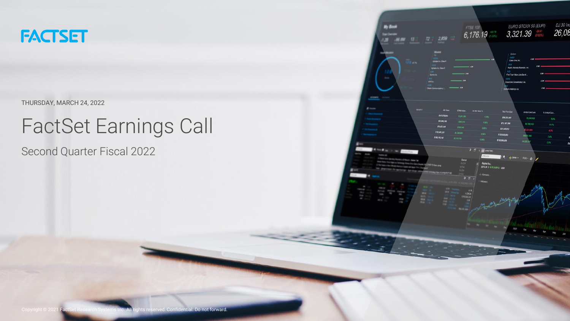

#### THURSDAY, MARCH 24, 2022

# FactSet Earnings Call

Second Quarter Fiscal 2022

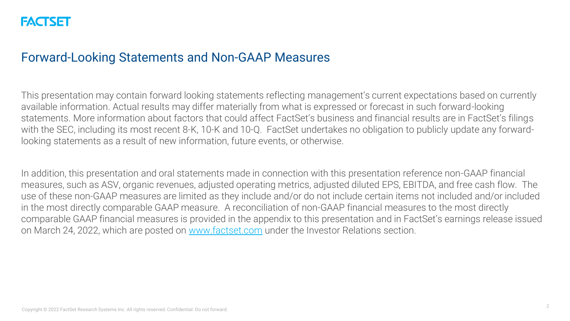#### Forward-Looking Statements and Non-GAAP Measures

This presentation may contain forward looking statements reflecting management's current expectations based on currently available information. Actual results may differ materially from what is expressed or forecast in such forward-looking statements. More information about factors that could affect FactSet's business and financial results are in FactSet's filings with the SEC, including its most recent 8-K, 10-K and 10-Q. FactSet undertakes no obligation to publicly update any forwardlooking statements as a result of new information, future events, or otherwise.

In addition, this presentation and oral statements made in connection with this presentation reference non-GAAP financial measures, such as ASV, organic revenues, adjusted operating metrics, adjusted diluted EPS, EBITDA, and free cash flow. The use of these non-GAAP measures are limited as they include and/or do not include certain items not included and/or included in the most directly comparable GAAP measure. A reconciliation of non-GAAP financial measures to the most directly comparable GAAP financial measures is provided in the appendix to this presentation and in FactSet's earnings release issued on March 24, 2022, which are posted on [www.factset.com](http://www.factset.com/) under the Investor Relations section.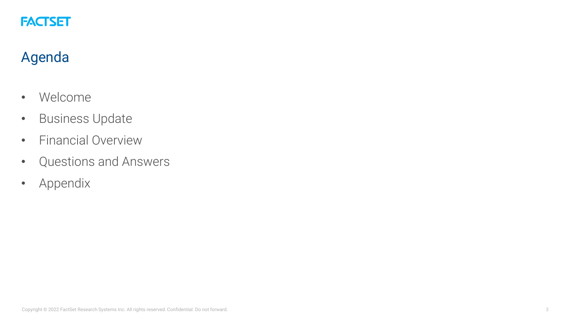

# Agenda

- Welcome
- Business Update
- Financial Overview
- Questions and Answers
- Appendix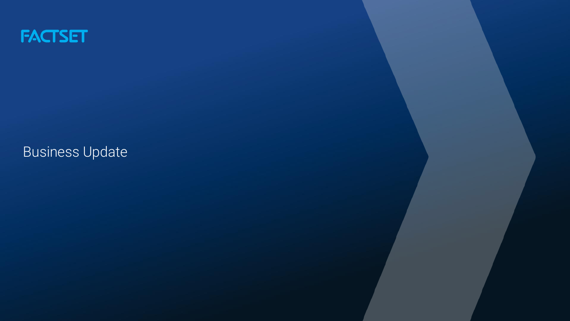

Business Update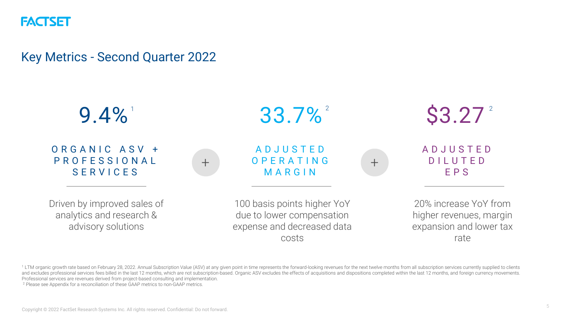#### Key Metrics - Second Quarter 2022



1 LTM organic growth rate based on February 28, 2022. Annual Subscription Value (ASV) at any given point in time represents the forward-looking revenues for the next twelve months from all subscription services currently s and excludes professional services fees billed in the last 12 months, which are not subscription-based. Organic ASV excludes the effects of acquisitions and dispositions completed within the last 12 months, and foreign cur Professional services are revenues derived from project-based consulting and implementation.

<sup>2</sup> Please see Appendix for a reconciliation of these GAAP metrics to non-GAAP metrics.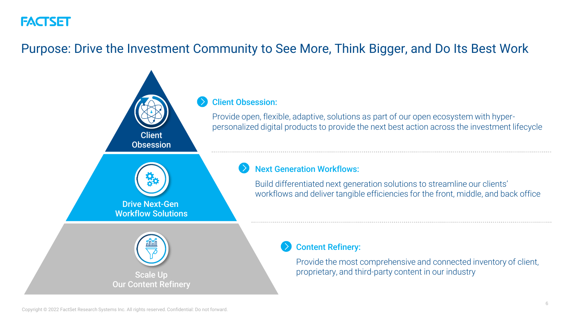### Purpose: Drive the Investment Community to See More, Think Bigger, and Do Its Best Work

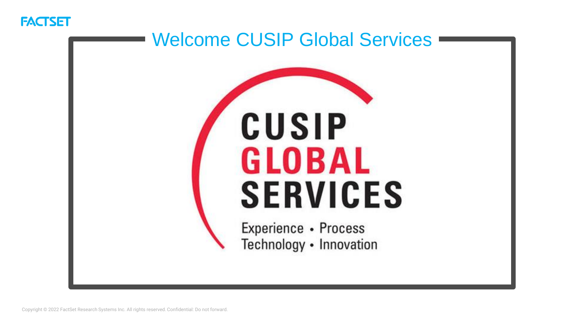

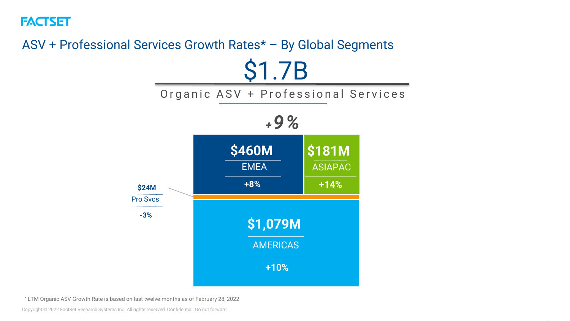

# ASV + Professional Services Growth Rates\* – By Global Segments \$1.7B

Organic ASV + Professional Services



\* LTM Organic ASV Growth Rate is based on last twelve months as of February 28, 2022

Copyright © 2022 FactSet Research Systems Inc. All rights reserved. Confidential: Do not forward.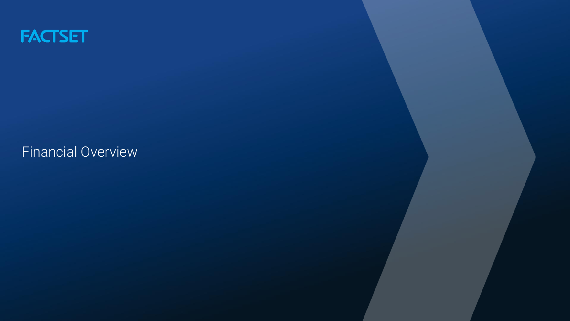

Financial Overview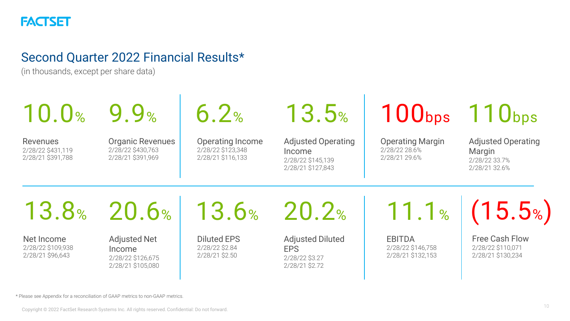

#### Second Quarter 2022 Financial Results\*

(in thousands, except per share data)

| 10.0%                                               | 9.9%                                                                    | 6.2%                                                       | 13.5%                                                                         |                                                           | $100bps$ 110 <sub>bps</sub>                                           |
|-----------------------------------------------------|-------------------------------------------------------------------------|------------------------------------------------------------|-------------------------------------------------------------------------------|-----------------------------------------------------------|-----------------------------------------------------------------------|
| Revenues<br>2/28/22 \$431,119<br>2/28/21 \$391,788  | <b>Organic Revenues</b><br>2/28/22 \$430,763<br>2/28/21 \$391,969       | Operating Income<br>2/28/22 \$123,348<br>2/28/21 \$116,133 | <b>Adjusted Operating</b><br>Income<br>2/28/22 \$145,139<br>2/28/21 \$127,843 | <b>Operating Margin</b><br>2/28/22 28.6%<br>2/28/21 29.6% | <b>Adjusted Operating</b><br>Margin<br>2/28/22 33.7%<br>2/28/21 32.6% |
|                                                     |                                                                         | 13.8% 20.6% 13.6% 20.2%                                    |                                                                               |                                                           | $11.1\%$ (15.5%)                                                      |
| Net Income<br>2/28/22 \$109,938<br>2/28/21 \$96,643 | <b>Adjusted Net</b><br>Income<br>2/28/22 \$126,675<br>2/28/21 \$105,080 | <b>Diluted EPS</b><br>2/28/22 \$2.84<br>2/28/21 \$2.50     | <b>Adjusted Diluted</b><br><b>EPS</b><br>2/28/22 \$3.27<br>2/28/21 \$2.72     | <b>EBITDA</b><br>2/28/22 \$146.758<br>2/28/21 \$132,153   | Free Cash Flow<br>2/28/22 \$110,071<br>2/28/21 \$130,234              |

\* Please see Appendix for a reconciliation of GAAP metrics to non-GAAP metrics.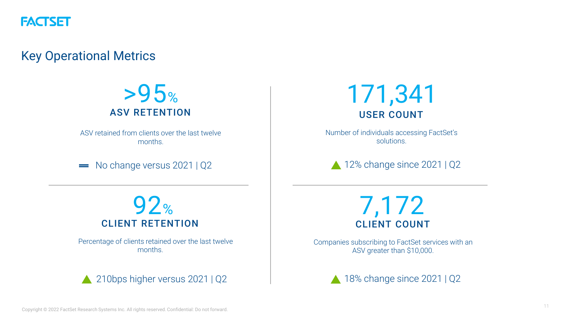

Key Operational Metrics



ASV retained from clients over the last twelve months.

No change versus 2021 | Q2  $\sim$ 



Number of individuals accessing FactSet's solutions.

12% change since 2021 | Q2



Percentage of clients retained over the last twelve months.



7,172 CLIENT COUNT

Companies subscribing to FactSet services with an ASV greater than \$10,000.

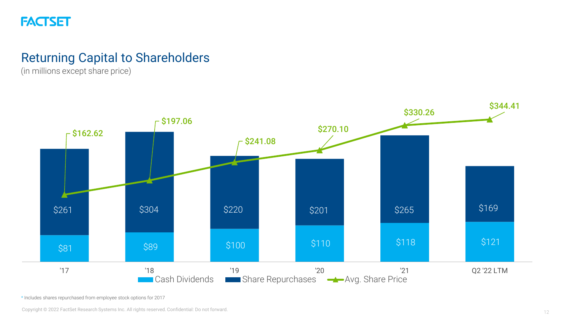

#### Returning Capital to Shareholders

(in millions except share price)



\* Includes shares repurchased from employee stock options for 2017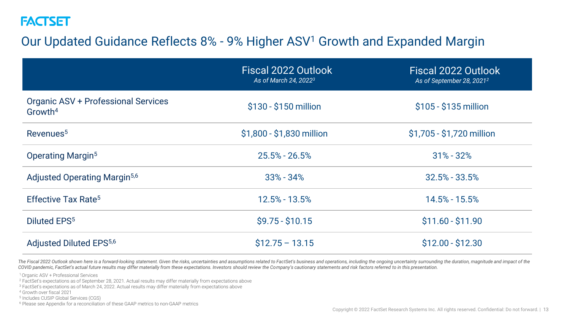# Our Updated Guidance Reflects 8% - 9% Higher ASV<sup>1</sup> Growth and Expanded Margin

|                                                            | Fiscal 2022 Outlook<br>As of March 24, 2022 <sup>3</sup> | Fiscal 2022 Outlook<br>As of September 28, 2021 <sup>2</sup> |
|------------------------------------------------------------|----------------------------------------------------------|--------------------------------------------------------------|
| Organic ASV + Professional Services<br>Growth <sup>4</sup> | \$130 - \$150 million                                    | \$105 - \$135 million                                        |
| Revenues <sup>5</sup>                                      | \$1,800 - \$1,830 million                                | \$1,705 - \$1,720 million                                    |
| <b>Operating Margin<sup>5</sup></b>                        | $25.5\% - 26.5\%$                                        | $31\% - 32\%$                                                |
| Adjusted Operating Margin <sup>5,6</sup>                   | $33\% - 34\%$                                            | $32.5\% - 33.5\%$                                            |
| Effective Tax Rate <sup>5</sup>                            | 12.5% - 13.5%                                            | 14.5% - 15.5%                                                |
| <b>Diluted EPS<sup>5</sup></b>                             | $$9.75 - $10.15$                                         | $$11.60 - $11.90$                                            |
| Adjusted Diluted EPS <sup>5,6</sup>                        | $$12.75 - 13.15$                                         | $$12.00 - $12.30$                                            |

The Fiscal 2022 Outlook shown here is a forward-looking statement. Given the risks, uncertainties and assumptions related to FactSet's business and operations, including the ongoing uncertainty surrounding the duration, ma COVID pandemic, FactSet's actual future results may differ materially from these expectations. Investors should review the Company's cautionary statements and risk factors referred to in this presentation.

<sup>1</sup>Organic ASV + Professional Services

<sup>2</sup> FactSet's expectations as of September 28, 2021. Actual results may differ materially from expectations above

<sup>3</sup> FactSet's expectations as of March 24, 2022. Actual results may differ materially from expectations above

<sup>4</sup> Growth over fiscal 2021

5 Includes CUSIP Global Services (CGS)

<sup>6</sup> Please see Appendix for a reconciliation of these GAAP metrics to non-GAAP metrics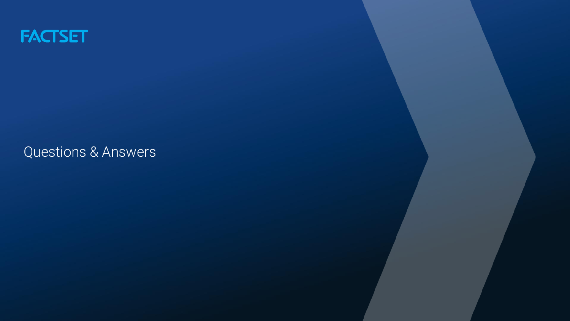

Questions & Answers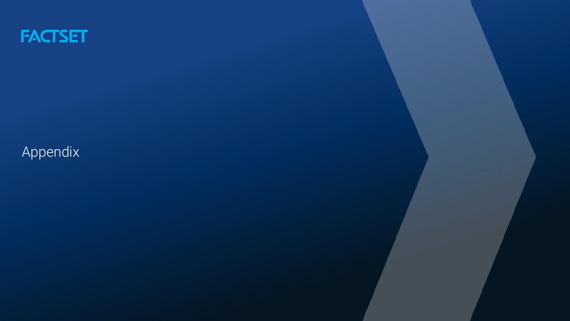

# Appendix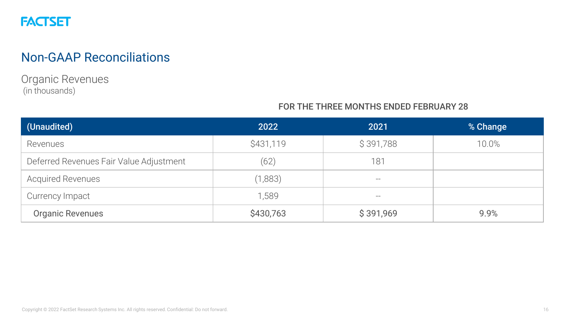

Organic Revenues (in thousands)

#### FOR THE THREE MONTHS ENDED FEBRUARY 28

| (Unaudited)                             | 2022      | 2021      | % Change |
|-----------------------------------------|-----------|-----------|----------|
| Revenues                                | \$431,119 | \$391,788 | 10.0%    |
| Deferred Revenues Fair Value Adjustment | (62)      | 181       |          |
| <b>Acquired Revenues</b>                | (1,883)   | $- -$     |          |
| Currency Impact                         | 1,589     | $- -$     |          |
| <b>Organic Revenues</b>                 | \$430,763 | \$391,969 | 9.9%     |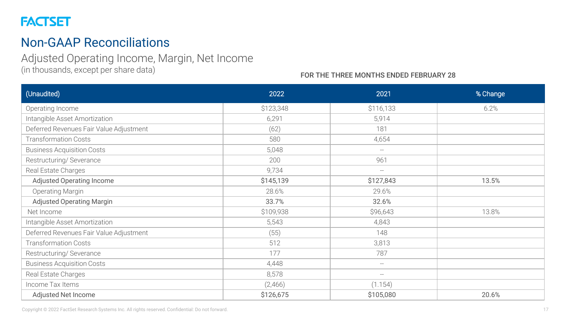### Non-GAAP Reconciliations

#### Adjusted Operating Income, Margin, Net Income

(in thousands, except per share data)

#### FOR THE THREE MONTHS ENDED FEBRUARY 28

| (Unaudited)                             | 2022      | 2021                                                | % Change |
|-----------------------------------------|-----------|-----------------------------------------------------|----------|
| Operating Income                        | \$123,348 | \$116,133                                           | 6.2%     |
| Intangible Asset Amortization           | 6,291     | 5,914                                               |          |
| Deferred Revenues Fair Value Adjustment | (62)      | 181                                                 |          |
| <b>Transformation Costs</b>             | 580       | 4,654                                               |          |
| <b>Business Acquisition Costs</b>       | 5,048     | $--$                                                |          |
| Restructuring/Severance                 | 200       | 961                                                 |          |
| Real Estate Charges                     | 9,734     | $\hspace{0.05cm} -\hspace{0.05cm} -\hspace{0.05cm}$ |          |
| Adjusted Operating Income               | \$145,139 | \$127,843                                           | 13.5%    |
| Operating Margin                        | 28.6%     | 29.6%                                               |          |
| <b>Adjusted Operating Margin</b>        | 33.7%     | 32.6%                                               |          |
| Net Income                              | \$109,938 | \$96,643                                            | 13.8%    |
| Intangible Asset Amortization           | 5,543     | 4,843                                               |          |
| Deferred Revenues Fair Value Adjustment | (55)      | 148                                                 |          |
| <b>Transformation Costs</b>             | 512       | 3,813                                               |          |
| Restructuring/ Severance                | 177       | 787                                                 |          |
| <b>Business Acquisition Costs</b>       | 4,448     | $\hspace{0.1mm}-\hspace{0.1mm}-\hspace{0.1mm}$      |          |
| Real Estate Charges                     | 8,578     | $\overline{\phantom{m}}$                            |          |
| Income Tax Items                        | (2,466)   | (1.154)                                             |          |
| Adjusted Net Income                     | \$126,675 | \$105,080                                           | 20.6%    |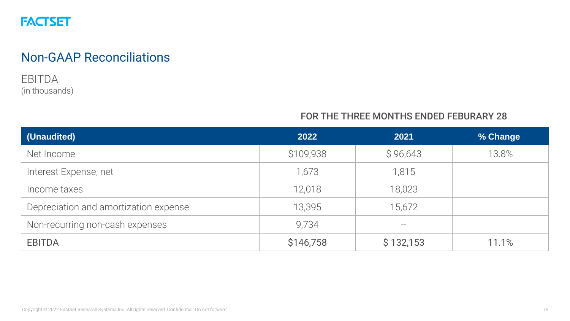

#### EBITDA (in thousands)

#### FOR THE THREE MONTHS ENDED FEBURARY 28

| (Unaudited)                           | 2022      | 2021      | % Change |
|---------------------------------------|-----------|-----------|----------|
| Net Income                            | \$109,938 | \$96,643  | 13.8%    |
| Interest Expense, net                 | 1,673     | 1,815     |          |
| Income taxes                          | 12,018    | 18,023    |          |
| Depreciation and amortization expense | 13,395    | 15,672    |          |
| Non-recurring non-cash expenses       | 9,734     |           |          |
| <b>EBITDA</b>                         | \$146,758 | \$132,153 | 11.1%    |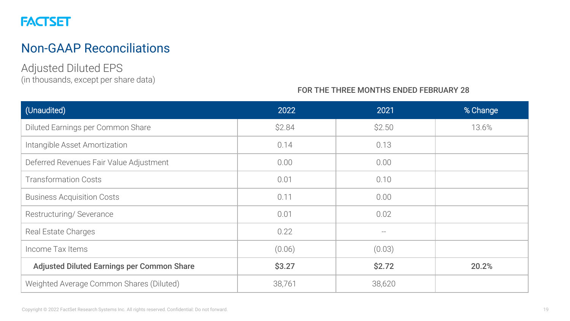# Non-GAAP Reconciliations

Adjusted Diluted EPS (in thousands, except per share data)

#### FOR THE THREE MONTHS ENDED FEBRUARY 28

| (Unaudited)                                | 2022   | 2021   | % Change |
|--------------------------------------------|--------|--------|----------|
| Diluted Earnings per Common Share          | \$2.84 | \$2.50 | 13.6%    |
| Intangible Asset Amortization              | 0.14   | 0.13   |          |
| Deferred Revenues Fair Value Adjustment    | 0.00   | 0.00   |          |
| <b>Transformation Costs</b>                | 0.01   | 0.10   |          |
| <b>Business Acquisition Costs</b>          | 0.11   | 0.00   |          |
| Restructuring/Severance                    | 0.01   | 0.02   |          |
| Real Estate Charges                        | 0.22   |        |          |
| Income Tax Items                           | (0.06) | (0.03) |          |
| Adjusted Diluted Earnings per Common Share | \$3.27 | \$2.72 | 20.2%    |
| Weighted Average Common Shares (Diluted)   | 38,761 | 38,620 |          |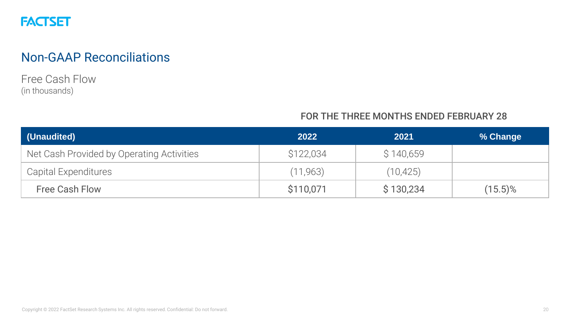

Free Cash Flow (in thousands)

#### FOR THE THREE MONTHS ENDED FEBRUARY 28

| (Unaudited)                               | 2022      | 2021      | % Change   |
|-------------------------------------------|-----------|-----------|------------|
| Net Cash Provided by Operating Activities | \$122,034 | \$140,659 |            |
| Capital Expenditures                      | (11, 963) | (10, 425) |            |
| <b>Free Cash Flow</b>                     | \$110,071 | \$130,234 | $(15.5)\%$ |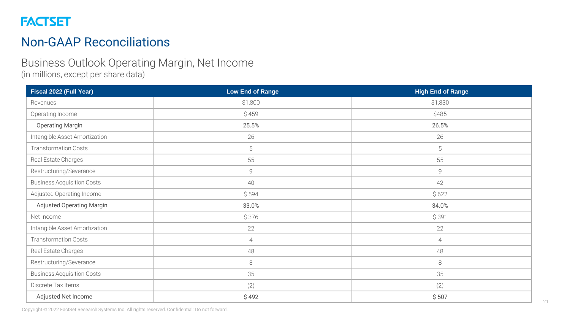

#### Business Outlook Operating Margin, Net Income (in millions, except per share data)

**Fiscal 2022 (Full Year) Low End of Range High End of Range** Revenues \$1,800 \$1,830 Operating Income \$ 459 \$485 Operating Margin 26.5% 26.5% 26.5% 26.5% 26.5% 26.5% 26.5% 26.5% 26.5% 26.5% 26.5% 26.5% 26.5% 26.5% 26.5% 26.5% 26.5% 26.5% 26.5% 26.5% 26.5% 26.5% 26.5% 26.5% 26.5% 26.5% 26.5% 26.5% 26.5% 26.5% 26.5% 26.5% 26.5% 26.5% 2 Intangible Asset Amortization 26 26 Transformation Costs 5 5 Real Estate Charges 55 55 Restructuring/Severance and the settlement of the settlement of the settlement of the settlement of the settlement of the settlement of the settlement of the settlement of the settlement of the settlement of the settlement Business Acquisition Costs 40 42 Adjusted Operating Income  $\begin{array}{ccc} \S 594 \end{array}$  \$ 522 Adjusted Operating Margin 34.0% 33.0% 33.0% 34.0% Net Income \$ 376 \$ 391 Intangible Asset Amortization 22 22 Transformation Costs 4 4 Real Estate Charges 48 48 Restructuring/Severance and the settlement of the settlement of the settlement of the settlement of the settlement of the settlement of the settlement of the settlement of the settlement of the settlement of the settlement Business Acquisition Costs 35 35 Discrete Tax Items (2) (2) Adjusted Net Income  $\begin{array}{ccc} \S 492 \end{array}$  \$ 507

Copyright © 2022 FactSet Research Systems Inc. All rights reserved. Confidential: Do not forward.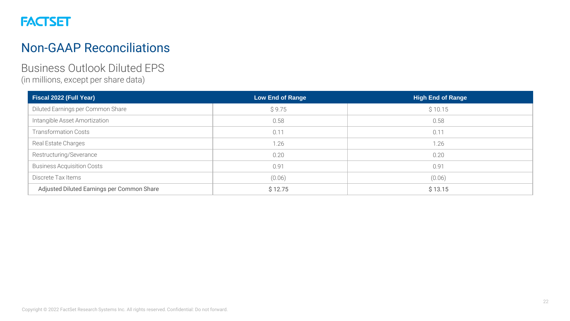

#### Business Outlook Diluted EPS (in millions, except per share data)

| Fiscal 2022 (Full Year)                    | Low End of Range | <b>High End of Range</b> |
|--------------------------------------------|------------------|--------------------------|
| Diluted Earnings per Common Share          | \$9.75           | \$10.15                  |
| Intangible Asset Amortization              | 0.58             | 0.58                     |
| <b>Transformation Costs</b>                | 0.11             | 0.11                     |
| Real Estate Charges                        | 1.26             | 1.26                     |
| Restructuring/Severance                    | 0.20             | 0.20                     |
| <b>Business Acquisition Costs</b>          | 0.91             | 0.91                     |
| Discrete Tax Items                         | (0.06)           | (0.06)                   |
| Adjusted Diluted Earnings per Common Share | \$12.75          | \$13.15                  |